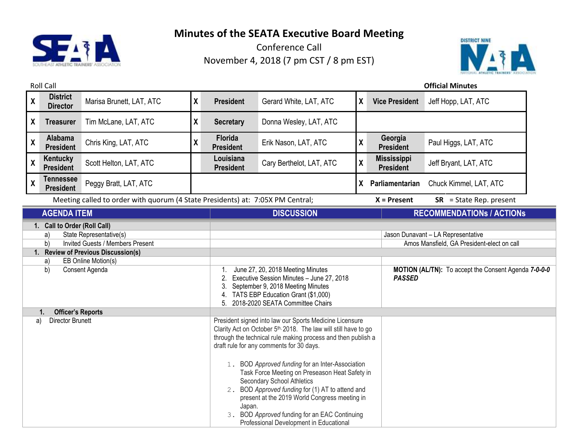



| <b>Roll Call</b>                                                                                                                                                                                    |                                      |                                                                                |                                                                                                                                                                                                                                                                                                                                                                                                                                                                                                                                                                                              | <b>Official Minutes</b>       |                          |    |                                        |                                  |  |
|-----------------------------------------------------------------------------------------------------------------------------------------------------------------------------------------------------|--------------------------------------|--------------------------------------------------------------------------------|----------------------------------------------------------------------------------------------------------------------------------------------------------------------------------------------------------------------------------------------------------------------------------------------------------------------------------------------------------------------------------------------------------------------------------------------------------------------------------------------------------------------------------------------------------------------------------------------|-------------------------------|--------------------------|----|----------------------------------------|----------------------------------|--|
| $\pmb{\mathsf{X}}$                                                                                                                                                                                  | <b>District</b><br><b>Director</b>   | Marisa Brunett, LAT, ATC                                                       | χ                                                                                                                                                                                                                                                                                                                                                                                                                                                                                                                                                                                            | <b>President</b>              | Gerard White, LAT, ATC   | X  | <b>Vice President</b>                  | Jeff Hopp, LAT, ATC              |  |
| X                                                                                                                                                                                                   | <b>Treasurer</b>                     | Tim McLane, LAT, ATC                                                           | X                                                                                                                                                                                                                                                                                                                                                                                                                                                                                                                                                                                            | <b>Secretary</b>              | Donna Wesley, LAT, ATC   |    |                                        |                                  |  |
| $\pmb{\mathsf{X}}$                                                                                                                                                                                  | Alabama<br><b>President</b>          | Chris King, LAT, ATC                                                           | χ                                                                                                                                                                                                                                                                                                                                                                                                                                                                                                                                                                                            | Florida<br><b>President</b>   | Erik Nason, LAT, ATC     | χ  | Georgia<br><b>President</b>            | Paul Higgs, LAT, ATC             |  |
| $\boldsymbol{X}$                                                                                                                                                                                    | Kentucky<br><b>President</b>         | Scott Helton, LAT, ATC                                                         |                                                                                                                                                                                                                                                                                                                                                                                                                                                                                                                                                                                              | Louisiana<br><b>President</b> | Cary Berthelot, LAT, ATC | χ  | <b>Mississippi</b><br><b>President</b> | Jeff Bryant, LAT, ATC            |  |
| $\pmb{\chi}$                                                                                                                                                                                        | <b>Tennessee</b><br><b>President</b> | Peggy Bratt, LAT, ATC                                                          |                                                                                                                                                                                                                                                                                                                                                                                                                                                                                                                                                                                              |                               |                          | X. | Parliamentarian                        | Chuck Kimmel, LAT, ATC           |  |
|                                                                                                                                                                                                     |                                      | Meeting called to order with quorum (4 State Presidents) at: 7:05X PM Central; |                                                                                                                                                                                                                                                                                                                                                                                                                                                                                                                                                                                              |                               |                          |    | $X =$ Present                          | $SR = State Rep. present$        |  |
|                                                                                                                                                                                                     | <b>AGENDA ITEM</b>                   |                                                                                |                                                                                                                                                                                                                                                                                                                                                                                                                                                                                                                                                                                              |                               | <b>DISCUSSION</b>        |    |                                        | <b>RECOMMENDATIONS / ACTIONS</b> |  |
| 1. Call to Order (Roll Call)<br>State Representative(s)<br>a)<br>Invited Guests / Members Present<br>b)<br>1. Review of Previous Discussion(s)<br>EB Online Motion(s)<br>a)<br>Consent Agenda<br>b) |                                      |                                                                                | Jason Dunavant - LA Representative<br>Amos Mansfield, GA President-elect on call<br>MOTION (AL/TN): To accept the Consent Agenda 7-0-0-0<br>June 27, 20, 2018 Meeting Minutes<br>Executive Session Minutes - June 27, 2018<br><b>PASSED</b><br>2.<br>September 9, 2018 Meeting Minutes<br>TATS EBP Education Grant (\$1,000)<br>2018-2020 SEATA Committee Chairs<br>5.                                                                                                                                                                                                                       |                               |                          |    |                                        |                                  |  |
| <b>Officer's Reports</b><br>1.<br><b>Director Brunett</b><br>a)                                                                                                                                     |                                      |                                                                                | President signed into law our Sports Medicine Licensure<br>Clarity Act on October 5th, 2018. The law will still have to go<br>through the technical rule making process and then publish a<br>draft rule for any comments for 30 days.<br>1. BOD Approved funding for an Inter-Association<br>Task Force Meeting on Preseason Heat Safety in<br><b>Secondary School Athletics</b><br>2. BOD Approved funding for (1) AT to attend and<br>present at the 2019 World Congress meeting in<br>Japan.<br>3. BOD Approved funding for an EAC Continuing<br>Professional Development in Educational |                               |                          |    |                                        |                                  |  |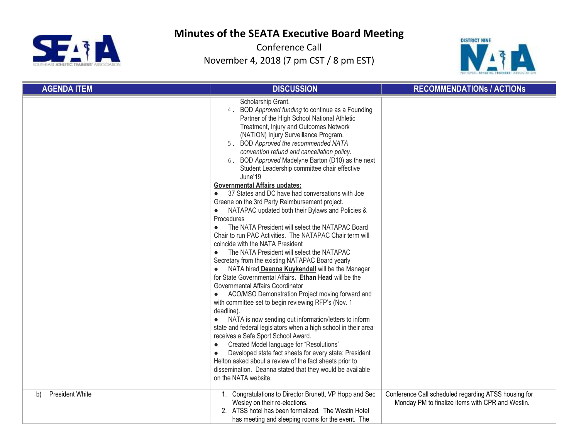



| <b>AGENDA ITEM</b>           | <b>DISCUSSION</b>                                                                                                                                                                                                                                                                                                                                                                                                                                                                                                                                                                                                                                                                                                                                                                                                                                                                                                                                                                                                                                                                                                                                                                                                                                                                                                                                                                                                                                                                                                                                                                                                                                                       | <b>RECOMMENDATIONS / ACTIONS</b>                                                                         |
|------------------------------|-------------------------------------------------------------------------------------------------------------------------------------------------------------------------------------------------------------------------------------------------------------------------------------------------------------------------------------------------------------------------------------------------------------------------------------------------------------------------------------------------------------------------------------------------------------------------------------------------------------------------------------------------------------------------------------------------------------------------------------------------------------------------------------------------------------------------------------------------------------------------------------------------------------------------------------------------------------------------------------------------------------------------------------------------------------------------------------------------------------------------------------------------------------------------------------------------------------------------------------------------------------------------------------------------------------------------------------------------------------------------------------------------------------------------------------------------------------------------------------------------------------------------------------------------------------------------------------------------------------------------------------------------------------------------|----------------------------------------------------------------------------------------------------------|
|                              | Scholarship Grant.<br>4. BOD Approved funding to continue as a Founding<br>Partner of the High School National Athletic<br>Treatment, Injury and Outcomes Network<br>(NATION) Injury Surveillance Program.<br>5. BOD Approved the recommended NATA<br>convention refund and cancellation policy.<br>6. BOD Approved Madelyne Barton (D10) as the next<br>Student Leadership committee chair effective<br>June'19<br><b>Governmental Affairs updates:</b><br>37 States and DC have had conversations with Joe<br>Greene on the 3rd Party Reimbursement project.<br>NATAPAC updated both their Bylaws and Policies &<br>$\bullet$<br>Procedures<br>The NATA President will select the NATAPAC Board<br>$\bullet$<br>Chair to run PAC Activities. The NATAPAC Chair term will<br>coincide with the NATA President<br>The NATA President will select the NATAPAC<br>$\bullet$<br>Secretary from the existing NATAPAC Board yearly<br>NATA hired Deanna Kuykendall will be the Manager<br>for State Governmental Affairs. Ethan Head will be the<br>Governmental Affairs Coordinator<br>ACO/MSO Demonstration Project moving forward and<br>$\bullet$<br>with committee set to begin reviewing RFP's (Nov. 1<br>deadline).<br>NATA is now sending out information/letters to inform<br>state and federal legislators when a high school in their area<br>receives a Safe Sport School Award.<br>Created Model language for "Resolutions"<br>$\bullet$<br>Developed state fact sheets for every state; President<br>$\bullet$<br>Helton asked about a review of the fact sheets prior to<br>dissemination. Deanna stated that they would be available<br>on the NATA website. |                                                                                                          |
| <b>President White</b><br>b) | 1. Congratulations to Director Brunett, VP Hopp and Sec<br>Wesley on their re-elections.<br>2. ATSS hotel has been formalized. The Westin Hotel<br>has meeting and sleeping rooms for the event. The                                                                                                                                                                                                                                                                                                                                                                                                                                                                                                                                                                                                                                                                                                                                                                                                                                                                                                                                                                                                                                                                                                                                                                                                                                                                                                                                                                                                                                                                    | Conference Call scheduled regarding ATSS housing for<br>Monday PM to finalize items with CPR and Westin. |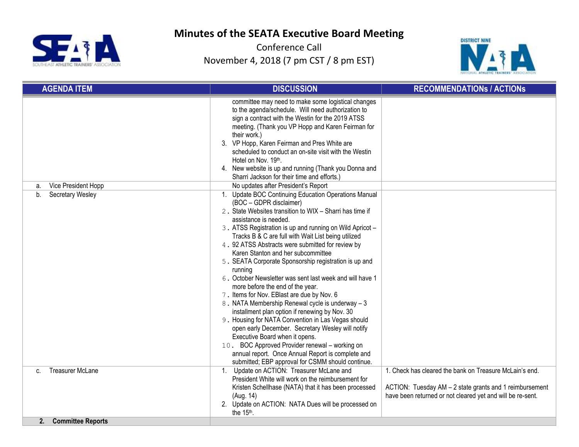



| <b>AGENDA ITEM</b>                                  | <b>DISCUSSION</b>                                                                                                                                                                                                                                                                                                                                                                                                                                                                                                                                                                                                                                                                                                                                                                                                                                                                                                                                                                                                                                                                                                                                                             | <b>RECOMMENDATIONS / ACTIONS</b>                                                                                                                                                 |
|-----------------------------------------------------|-------------------------------------------------------------------------------------------------------------------------------------------------------------------------------------------------------------------------------------------------------------------------------------------------------------------------------------------------------------------------------------------------------------------------------------------------------------------------------------------------------------------------------------------------------------------------------------------------------------------------------------------------------------------------------------------------------------------------------------------------------------------------------------------------------------------------------------------------------------------------------------------------------------------------------------------------------------------------------------------------------------------------------------------------------------------------------------------------------------------------------------------------------------------------------|----------------------------------------------------------------------------------------------------------------------------------------------------------------------------------|
| Vice President Hopp<br>a.<br>Secretary Wesley<br>b. | committee may need to make some logistical changes<br>to the agenda/schedule. Will need authorization to<br>sign a contract with the Westin for the 2019 ATSS<br>meeting. (Thank you VP Hopp and Karen Feirman for<br>their work.)<br>3. VP Hopp, Karen Feirman and Pres White are<br>scheduled to conduct an on-site visit with the Westin<br>Hotel on Nov. 19th.<br>4. New website is up and running (Thank you Donna and<br>Sharri Jackson for their time and efforts.)<br>No updates after President's Report<br>1. Update BOC Continuing Education Operations Manual<br>(BOC - GDPR disclaimer)<br>2. State Websites transition to WIX - Sharri has time if<br>assistance is needed.<br>3. ATSS Registration is up and running on Wild Apricot -<br>Tracks B & C are full with Wait List being utilized<br>4. 92 ATSS Abstracts were submitted for review by<br>Karen Stanton and her subcommittee<br>5. SEATA Corporate Sponsorship registration is up and<br>running<br>6. October Newsletter was sent last week and will have 1<br>more before the end of the year.<br>7. Items for Nov. EBlast are due by Nov. 6<br>8. NATA Membership Renewal cycle is underway - 3 |                                                                                                                                                                                  |
|                                                     | installment plan option if renewing by Nov. 30<br>9. Housing for NATA Convention in Las Vegas should<br>open early December. Secretary Wesley will notify<br>Executive Board when it opens.<br>10. BOC Approved Provider renewal - working on<br>annual report. Once Annual Report is complete and<br>submitted; EBP approval for CSMM should continue.                                                                                                                                                                                                                                                                                                                                                                                                                                                                                                                                                                                                                                                                                                                                                                                                                       |                                                                                                                                                                                  |
| <b>Treasurer McLane</b><br>C.                       | 1. Update on ACTION: Treasurer McLane and<br>President White will work on the reimbursement for<br>Kristen Schellhase (NATA) that it has been processed<br>(Aug. 14)<br>2. Update on ACTION: NATA Dues will be processed on<br>the 15th.                                                                                                                                                                                                                                                                                                                                                                                                                                                                                                                                                                                                                                                                                                                                                                                                                                                                                                                                      | 1. Check has cleared the bank on Treasure McLain's end.<br>ACTION: Tuesday AM - 2 state grants and 1 reimbursement<br>have been returned or not cleared yet and will be re-sent. |
| <b>Committee Reports</b><br>2.                      |                                                                                                                                                                                                                                                                                                                                                                                                                                                                                                                                                                                                                                                                                                                                                                                                                                                                                                                                                                                                                                                                                                                                                                               |                                                                                                                                                                                  |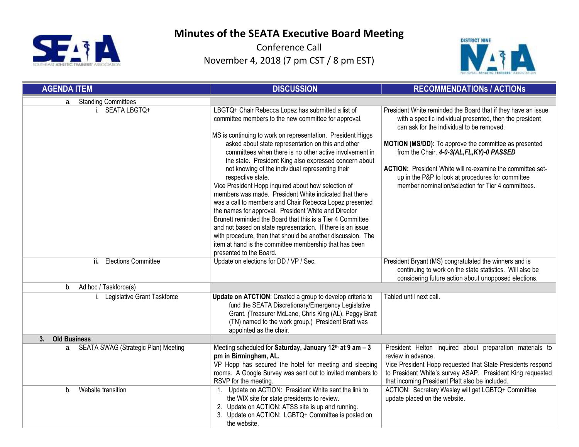



| <b>AGENDA ITEM</b>                     | <b>DISCUSSION</b>                                                                                                                                                                                                                                                                                                                                                                                                                                                                                                 | <b>RECOMMENDATIONS / ACTIONS</b>                                                                                                                                                                                                                               |  |
|----------------------------------------|-------------------------------------------------------------------------------------------------------------------------------------------------------------------------------------------------------------------------------------------------------------------------------------------------------------------------------------------------------------------------------------------------------------------------------------------------------------------------------------------------------------------|----------------------------------------------------------------------------------------------------------------------------------------------------------------------------------------------------------------------------------------------------------------|--|
| a. Standing Committees                 |                                                                                                                                                                                                                                                                                                                                                                                                                                                                                                                   |                                                                                                                                                                                                                                                                |  |
| i. SEATA LBGTQ+                        | LBGTQ+ Chair Rebecca Lopez has submitted a list of<br>committee members to the new committee for approval.<br>MS is continuing to work on representation. President Higgs                                                                                                                                                                                                                                                                                                                                         | President White reminded the Board that if they have an issue<br>with a specific individual presented, then the president<br>can ask for the individual to be removed.                                                                                         |  |
|                                        | asked about state representation on this and other<br>committees when there is no other active involvement in<br>the state. President King also expressed concern about<br>not knowing of the individual representing their<br>respective state.                                                                                                                                                                                                                                                                  | MOTION (MS/DD): To approve the committee as presented<br>from the Chair. 4-0-3(AL, FL, KY)-0 PASSED<br><b>ACTION:</b> President White will re-examine the committee set-<br>up in the P&P to look at procedures for committee                                  |  |
|                                        | Vice President Hopp inquired about how selection of<br>members was made. President White indicated that there<br>was a call to members and Chair Rebecca Lopez presented<br>the names for approval. President White and Director<br>Brunett reminded the Board that this is a Tier 4 Committee<br>and not based on state representation. If there is an issue<br>with procedure, then that should be another discussion. The<br>item at hand is the committee membership that has been<br>presented to the Board. | member nomination/selection for Tier 4 committees.                                                                                                                                                                                                             |  |
| <b>Elections Committee</b><br>ii.      | Update on elections for DD / VP / Sec.                                                                                                                                                                                                                                                                                                                                                                                                                                                                            | President Bryant (MS) congratulated the winners and is<br>continuing to work on the state statistics. Will also be<br>considering future action about unopposed elections.                                                                                     |  |
| Ad hoc / Taskforce(s)<br>b.            |                                                                                                                                                                                                                                                                                                                                                                                                                                                                                                                   |                                                                                                                                                                                                                                                                |  |
| i. Legislative Grant Taskforce         | Update on ATCTION: Created a group to develop criteria to<br>fund the SEATA Discretionary/Emergency Legislative<br>Grant. (Treasurer McLane, Chris King (AL), Peggy Bratt<br>(TN) named to the work group.) President Bratt was<br>appointed as the chair.                                                                                                                                                                                                                                                        | Tabled until next call.                                                                                                                                                                                                                                        |  |
| 3.<br><b>Old Business</b>              |                                                                                                                                                                                                                                                                                                                                                                                                                                                                                                                   |                                                                                                                                                                                                                                                                |  |
| a. SEATA SWAG (Strategic Plan) Meeting | Meeting scheduled for Saturday, January 12th at 9 am - 3<br>pm in Birmingham, AL.<br>VP Hopp has secured the hotel for meeting and sleeping<br>rooms. A Google Survey was sent out to invited members to<br>RSVP for the meeting.                                                                                                                                                                                                                                                                                 | President Helton inquired about preparation materials to<br>review in advance.<br>Vice President Hopp requested that State Presidents respond<br>to President White's survey ASAP. President King requested<br>that incoming President Platt also be included. |  |
| Website transition<br>b.               | 1. Update on ACTION: President White sent the link to<br>the WIX site for state presidents to review.<br>2. Update on ACTION: ATSS site is up and running.<br>3. Update on ACTION: LGBTQ+ Committee is posted on<br>the website.                                                                                                                                                                                                                                                                                  | ACTION: Secretary Wesley will get LGBTQ+ Committee<br>update placed on the website.                                                                                                                                                                            |  |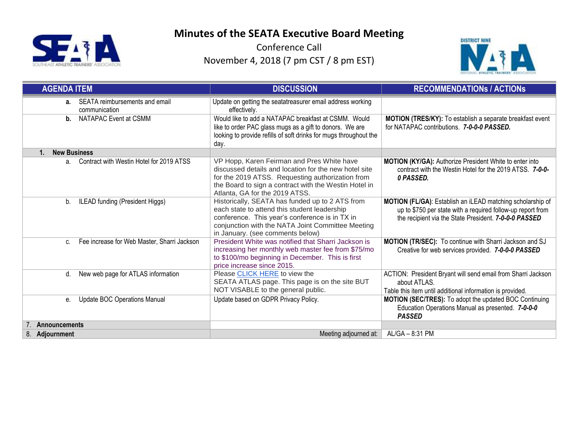



| <b>AGENDA ITEM</b>                                         | <b>DISCUSSION</b>                                                                                                                                                                                                                                  | <b>RECOMMENDATIONS / ACTIONS</b>                                                                                                                                                   |  |  |
|------------------------------------------------------------|----------------------------------------------------------------------------------------------------------------------------------------------------------------------------------------------------------------------------------------------------|------------------------------------------------------------------------------------------------------------------------------------------------------------------------------------|--|--|
| SEATA reimbursements and email<br>$a_{-}$<br>communication | Update on getting the seatatreasurer email address working<br>effectively.                                                                                                                                                                         |                                                                                                                                                                                    |  |  |
| <b>NATAPAC Event at CSMM</b><br>b.                         | Would like to add a NATAPAC breakfast at CSMM. Would<br>like to order PAC glass mugs as a gift to donors. We are<br>looking to provide refills of soft drinks for mugs throughout the<br>day.                                                      | MOTION (TRES/KY): To establish a separate breakfast event<br>for NATAPAC contributions. 7-0-0-0 PASSED.                                                                            |  |  |
| <b>New Business</b><br>$\mathbf{1}$                        |                                                                                                                                                                                                                                                    |                                                                                                                                                                                    |  |  |
| a. Contract with Westin Hotel for 2019 ATSS                | VP Hopp, Karen Feirman and Pres White have<br>discussed details and location for the new hotel site<br>for the 2019 ATSS. Requesting authorization from<br>the Board to sign a contract with the Westin Hotel in<br>Atlanta, GA for the 2019 ATSS. | MOTION (KY/GA): Authorize President White to enter into<br>contract with the Westin Hotel for the 2019 ATSS. 7-0-0-<br>0 PASSED.                                                   |  |  |
| ILEAD funding (President Higgs)<br>b.                      | Historically, SEATA has funded up to 2 ATS from<br>each state to attend this student leadership<br>conference. This year's conference is in TX in<br>conjunction with the NATA Joint Committee Meeting<br>in January. (see comments below)         | MOTION (FL/GA): Establish an iLEAD matching scholarship of<br>up to \$750 per state with a required follow-up report from<br>the recipient via the State President. 7-0-0-0 PASSED |  |  |
| Fee increase for Web Master, Sharri Jackson<br>C.          | President White was notified that Sharri Jackson is<br>increasing her monthly web master fee from \$75/mo<br>to \$100/mo beginning in December. This is first<br>price increase since 2015.                                                        | MOTION (TR/SEC): To continue with Sharri Jackson and SJ<br>Creative for web services provided. 7-0-0-0 PASSED                                                                      |  |  |
| New web page for ATLAS information<br>d.                   | Please CLICK HERE to view the<br>SEATA ATLAS page. This page is on the site BUT<br>NOT VISABLE to the general public.                                                                                                                              | ACTION: President Bryant will send email from Sharri Jackson<br>about ATLAS.<br>Table this item until additional information is provided.                                          |  |  |
| <b>Update BOC Operations Manual</b><br>е.                  | Update based on GDPR Privacy Policy.                                                                                                                                                                                                               | MOTION (SEC/TRES): To adopt the updated BOC Continuing<br>Education Operations Manual as presented. 7-0-0-0<br><b>PASSED</b>                                                       |  |  |
| <b>Announcements</b>                                       |                                                                                                                                                                                                                                                    |                                                                                                                                                                                    |  |  |
| Adjournment<br>8.                                          | Meeting adjourned at:                                                                                                                                                                                                                              | AL/GA - 8:31 PM                                                                                                                                                                    |  |  |